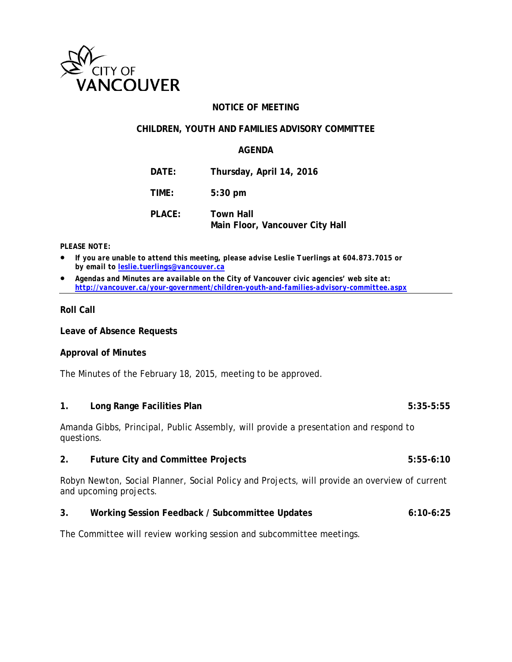

### **NOTICE OF MEETING**

#### **CHILDREN, YOUTH AND FAMILIES ADVISORY COMMITTEE**

#### **AGENDA**

| DATE:         | Thursday, April 14, 2016                            |
|---------------|-----------------------------------------------------|
| TIME:         | $5:30$ pm                                           |
| <b>PLACE:</b> | <b>Town Hall</b><br>Main Floor, Vancouver City Hall |

#### *PLEASE NOTE:*

- *If you are unable to attend this meeting, please advise Leslie Tuerlings at 604.873.7015 or by email to [leslie.tuerlings@vancouver.ca](mailto:leslie.tuerlings@vancouver.ca)*
- *Agendas and Minutes are available on the City of Vancouver civic agencies' web site at: <http://vancouver.ca/your-government/children-youth-and-families-advisory-committee.aspx>*

#### **Roll Call**

**Leave of Absence Requests**

#### **Approval of Minutes**

The Minutes of the February 18, 2015, meeting to be approved.

#### 1. **Long Range Facilities Plan** 5:35-5:55

Amanda Gibbs, Principal, Public Assembly, will provide a presentation and respond to questions.

#### **2. Future City and Committee Projects 5:55-6:10**

Robyn Newton, Social Planner, Social Policy and Projects, will provide an overview of current and upcoming projects.

#### **3. Working Session Feedback / Subcommittee Updates 6:10-6:25**

The Committee will review working session and subcommittee meetings.